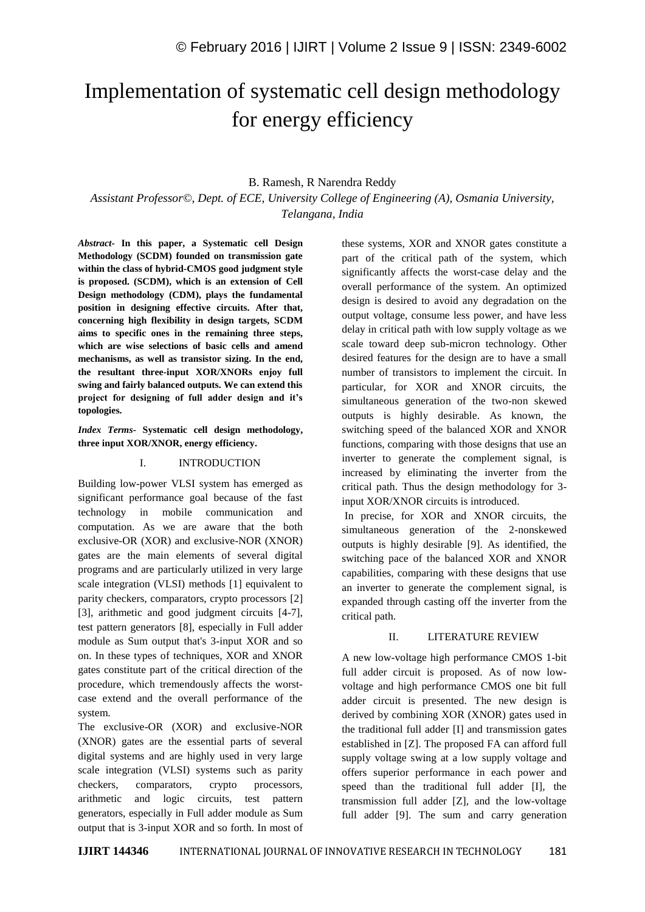# Implementation of systematic cell design methodology for energy efficiency

## B. Ramesh, R Narendra Reddy

*Assistant Professor©, Dept. of ECE, University College of Engineering (A), Osmania University, Telangana, India*

*Abstract-* **In this paper, a Systematic cell Design Methodology (SCDM) founded on transmission gate within the class of hybrid-CMOS good judgment style is proposed. (SCDM), which is an extension of Cell Design methodology (CDM), plays the fundamental position in designing effective circuits. After that, concerning high flexibility in design targets, SCDM aims to specific ones in the remaining three steps, which are wise selections of basic cells and amend mechanisms, as well as transistor sizing. In the end, the resultant three-input XOR/XNORs enjoy full swing and fairly balanced outputs. We can extend this project for designing of full adder design and it's topologies.**

## *Index Terms-* **Systematic cell design methodology, three input XOR/XNOR, energy efficiency.**

## I. INTRODUCTION

Building low-power VLSI system has emerged as significant performance goal because of the fast technology in mobile communication and computation. As we are aware that the both exclusive-OR (XOR) and exclusive-NOR (XNOR) gates are the main elements of several digital programs and are particularly utilized in very large scale integration (VLSI) methods [1] equivalent to parity checkers, comparators, crypto processors [2] [3], arithmetic and good judgment circuits [4-7], test pattern generators [8], especially in Full adder module as Sum output that's 3-input XOR and so on. In these types of techniques, XOR and XNOR gates constitute part of the critical direction of the procedure, which tremendously affects the worstcase extend and the overall performance of the system.

The exclusive-OR (XOR) and exclusive-NOR (XNOR) gates are the essential parts of several digital systems and are highly used in very large scale integration (VLSI) systems such as parity checkers, comparators, crypto processors, arithmetic and logic circuits, test pattern generators, especially in Full adder module as Sum output that is 3-input XOR and so forth. In most of these systems, XOR and XNOR gates constitute a part of the critical path of the system, which significantly affects the worst-case delay and the overall performance of the system. An optimized design is desired to avoid any degradation on the output voltage, consume less power, and have less delay in critical path with low supply voltage as we scale toward deep sub-micron technology. Other desired features for the design are to have a small number of transistors to implement the circuit. In particular, for XOR and XNOR circuits, the simultaneous generation of the two-non skewed outputs is highly desirable. As known, the switching speed of the balanced XOR and XNOR functions, comparing with those designs that use an inverter to generate the complement signal, is increased by eliminating the inverter from the critical path. Thus the design methodology for 3 input XOR/XNOR circuits is introduced.

In precise, for XOR and XNOR circuits, the simultaneous generation of the 2-nonskewed outputs is highly desirable [9]. As identified, the switching pace of the balanced XOR and XNOR capabilities, comparing with these designs that use an inverter to generate the complement signal, is expanded through casting off the inverter from the critical path.

## II. LITERATURE REVIEW

A new low-voltage high performance CMOS 1-bit full adder circuit is proposed. As of now lowvoltage and high performance CMOS one bit full adder circuit is presented. The new design is derived by combining XOR (XNOR) gates used in the traditional full adder [I] and transmission gates established in [Z]. The proposed FA can afford full supply voltage swing at a low supply voltage and offers superior performance in each power and speed than the traditional full adder [I], the transmission full adder [Z], and the low-voltage full adder [9]. The sum and carry generation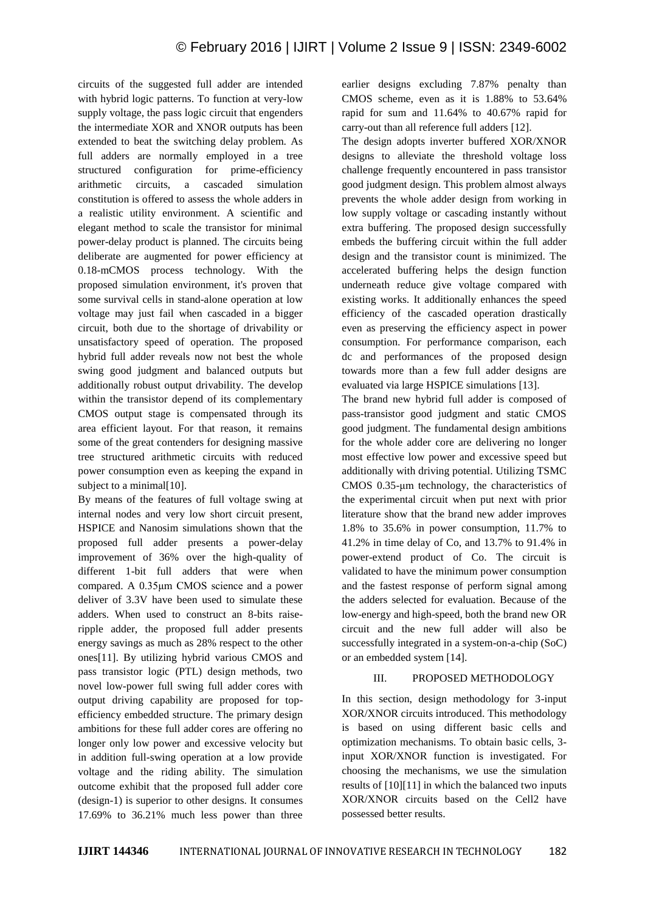circuits of the suggested full adder are intended with hybrid logic patterns. To function at very-low supply voltage, the pass logic circuit that engenders the intermediate XOR and XNOR outputs has been extended to beat the switching delay problem. As full adders are normally employed in a tree structured configuration for prime-efficiency arithmetic circuits, a cascaded simulation constitution is offered to assess the whole adders in a realistic utility environment. A scientific and elegant method to scale the transistor for minimal power-delay product is planned. The circuits being deliberate are augmented for power efficiency at 0.18-mCMOS process technology. With the proposed simulation environment, it's proven that some survival cells in stand-alone operation at low voltage may just fail when cascaded in a bigger circuit, both due to the shortage of drivability or unsatisfactory speed of operation. The proposed hybrid full adder reveals now not best the whole swing good judgment and balanced outputs but additionally robust output drivability. The develop within the transistor depend of its complementary CMOS output stage is compensated through its area efficient layout. For that reason, it remains some of the great contenders for designing massive tree structured arithmetic circuits with reduced power consumption even as keeping the expand in subject to a minimal [10].

By means of the features of full voltage swing at internal nodes and very low short circuit present, HSPICE and Nanosim simulations shown that the proposed full adder presents a power-delay improvement of 36% over the high-quality of different 1-bit full adders that were when compared. A 0.35μm CMOS science and a power deliver of 3.3V have been used to simulate these adders. When used to construct an 8-bits raiseripple adder, the proposed full adder presents energy savings as much as 28% respect to the other ones[11]. By utilizing hybrid various CMOS and pass transistor logic (PTL) design methods, two novel low-power full swing full adder cores with output driving capability are proposed for topefficiency embedded structure. The primary design ambitions for these full adder cores are offering no longer only low power and excessive velocity but in addition full-swing operation at a low provide voltage and the riding ability. The simulation outcome exhibit that the proposed full adder core (design-1) is superior to other designs. It consumes 17.69% to 36.21% much less power than three

earlier designs excluding 7.87% penalty than CMOS scheme, even as it is 1.88% to 53.64% rapid for sum and 11.64% to 40.67% rapid for carry-out than all reference full adders [12].

The design adopts inverter buffered XOR/XNOR designs to alleviate the threshold voltage loss challenge frequently encountered in pass transistor good judgment design. This problem almost always prevents the whole adder design from working in low supply voltage or cascading instantly without extra buffering. The proposed design successfully embeds the buffering circuit within the full adder design and the transistor count is minimized. The accelerated buffering helps the design function underneath reduce give voltage compared with existing works. It additionally enhances the speed efficiency of the cascaded operation drastically even as preserving the efficiency aspect in power consumption. For performance comparison, each dc and performances of the proposed design towards more than a few full adder designs are evaluated via large HSPICE simulations [13].

The brand new hybrid full adder is composed of pass-transistor good judgment and static CMOS good judgment. The fundamental design ambitions for the whole adder core are delivering no longer most effective low power and excessive speed but additionally with driving potential. Utilizing TSMC CMOS 0.35-μm technology, the characteristics of the experimental circuit when put next with prior literature show that the brand new adder improves 1.8% to 35.6% in power consumption, 11.7% to 41.2% in time delay of Co, and 13.7% to 91.4% in power-extend product of Co. The circuit is validated to have the minimum power consumption and the fastest response of perform signal among the adders selected for evaluation. Because of the low-energy and high-speed, both the brand new OR circuit and the new full adder will also be successfully integrated in a system-on-a-chip (SoC) or an embedded system [14].

## III. PROPOSED METHODOLOGY

In this section, design methodology for 3-input XOR/XNOR circuits introduced. This methodology is based on using different basic cells and optimization mechanisms. To obtain basic cells, 3 input XOR/XNOR function is investigated. For choosing the mechanisms, we use the simulation results of [10][11] in which the balanced two inputs XOR/XNOR circuits based on the Cell2 have possessed better results.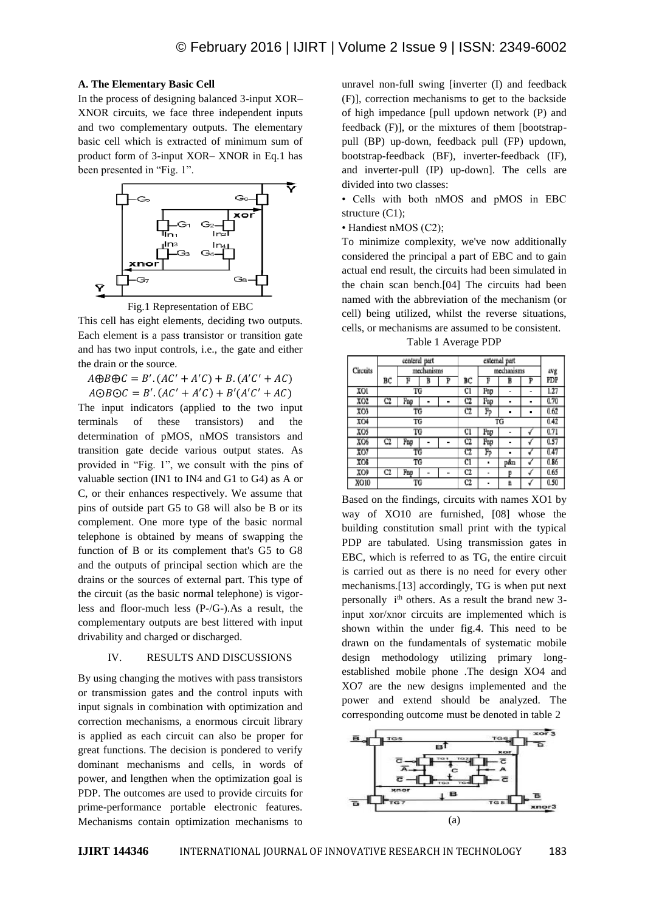### **A. The Elementary Basic Cell**

In the process of designing balanced 3-input XOR– XNOR circuits, we face three independent inputs and two complementary outputs. The elementary basic cell which is extracted of minimum sum of product form of 3-input XOR– XNOR in Eq.1 has been presented in "Fig. 1".



Fig.1 Representation of EBC

This cell has eight elements, deciding two outputs. Each element is a pass transistor or transition gate and has two input controls, i.e., the gate and either the drain or the source.

 $A \oplus B \oplus C = B'. (AC' + A'C) + B. (A'C' + AC)$ 

 $A \odot B \odot C = B'. (AC' + A'C) + B'(A'C' + AC)$ 

The input indicators (applied to the two input terminals of these transistors) and the determination of pMOS, nMOS transistors and transition gate decide various output states. As provided in "Fig. 1", we consult with the pins of valuable section (IN1 to IN4 and G1 to G4) as A or C, or their enhances respectively. We assume that pins of outside part G5 to G8 will also be B or its complement. One more type of the basic normal telephone is obtained by means of swapping the function of B or its complement that's G5 to G8 and the outputs of principal section which are the drains or the sources of external part. This type of the circuit (as the basic normal telephone) is vigorless and floor-much less (P-/G-).As a result, the complementary outputs are best littered with input drivability and charged or discharged.

### IV. RESULTS AND DISCUSSIONS

By using changing the motives with pass transistors or transmission gates and the control inputs with input signals in combination with optimization and correction mechanisms, a enormous circuit library is applied as each circuit can also be proper for great functions. The decision is pondered to verify dominant mechanisms and cells, in words of power, and lengthen when the optimization goal is PDP. The outcomes are used to provide circuits for prime-performance portable electronic features. Mechanisms contain optimization mechanisms to

unravel non-full swing [inverter (I) and feedback (F)], correction mechanisms to get to the backside of high impedance [pull updown network (P) and feedback (F)], or the mixtures of them [bootstrappull (BP) up-down, feedback pull (FP) updown, bootstrap-feedback (BF), inverter-feedback (IF), and inverter-pull (IP) up-down]. The cells are divided into two classes:

• Cells with both nMOS and pMOS in EBC structure (C1);

• Handiest nMOS (C2);

To minimize complexity, we've now additionally considered the principal a part of EBC and to gain actual end result, the circuits had been simulated in the chain scan bench.[04] The circuits had been named with the abbreviation of the mechanism (or cell) being utilized, whilst the reverse situations, cells, or mechanisms are assumed to be consistent.

Table 1 Average PDP

|                  |     | centeral part |            |   | external part |     |                              |   |      |
|------------------|-----|---------------|------------|---|---------------|-----|------------------------------|---|------|
| Circuits         |     |               | mechanisms |   | mechanisms    |     |                              |   | avg  |
|                  | BC  | F             | B          | P | BC            | F   | B                            | P | PDP  |
| X <sub>O</sub> I | TG  |               |            |   | C1            | Fnp | ٠                            | ٠ | 1.27 |
| XO2              | C2  | Fnp           |            |   | C2            | Fnp | ٠                            |   | 0.70 |
| XO3              | TG  |               |            |   | C2            | Fp  | $\qquad \qquad \blacksquare$ |   | 0.62 |
| X04              | TG  |               |            |   | TG            |     |                              |   | 0.42 |
| XO5              | TG  |               |            |   | C1            | Fnp |                              |   | 0.71 |
| <b>XO6</b>       | C2  | Fnp           |            |   | C2            | Fnp |                              |   | 0.57 |
| XO7              | T G |               |            |   | C2            | Fp  | $\blacksquare$               |   | 0.47 |
| XO8              | TG  |               |            |   | C1            | ٠   | p&n                          |   | 0.86 |
| XO9              | C2  | Fnp           |            | ۰ | C2            | ٠   | р                            |   | 0.65 |
| <b>XO10</b>      | TG  |               |            |   | C2            |     | ħ                            |   | 0.50 |

Based on the findings, circuits with names XO1 by way of XO10 are furnished, [08] whose the building constitution small print with the typical PDP are tabulated. Using transmission gates in EBC, which is referred to as TG, the entire circuit is carried out as there is no need for every other mechanisms.[13] accordingly, TG is when put next personally  $i<sup>th</sup>$  others. As a result the brand new 3input xor/xnor circuits are implemented which is shown within the under fig.4. This need to be drawn on the fundamentals of systematic mobile design methodology utilizing primary longestablished mobile phone .The design XO4 and XO7 are the new designs implemented and the power and extend should be analyzed. The corresponding outcome must be denoted in table 2

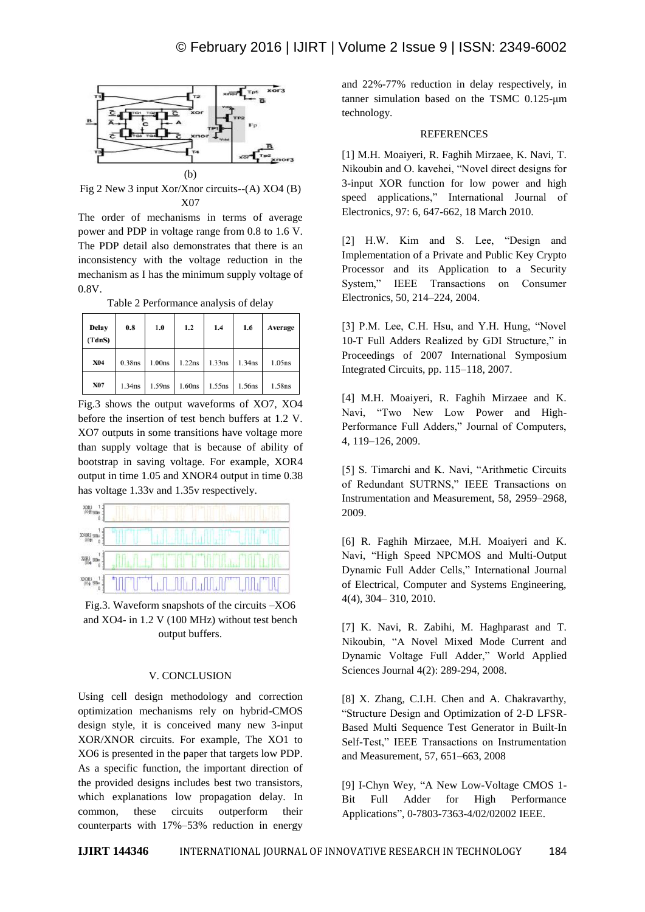

Fig 2 New 3 input Xor/Xnor circuits--(A) XO4 (B) X07

The order of mechanisms in terms of average power and PDP in voltage range from 0.8 to 1.6 V. The PDP detail also demonstrates that there is an inconsistency with the voltage reduction in the mechanism as I has the minimum supply voltage of 0.8V.

Table 2 Performance analysis of delay

| Delay<br>(TdnS) | 0.8       | 1.0                | 1.2    | 1.4    | 1.6       | Average |
|-----------------|-----------|--------------------|--------|--------|-----------|---------|
| <b>X04</b>      | 0.38ns    | 1.00 <sub>ns</sub> | 1.22ns | 1.33ns | $1.34$ ns | 1.05ns  |
| <b>X07</b>      | $1.34$ ns | 1.59ns             | 1.60ns | 1.55ns | 1.56ns    | 1.58ns  |

Fig.3 shows the output waveforms of XO7, XO4 before the insertion of test bench buffers at 1.2 V. XO7 outputs in some transitions have voltage more than supply voltage that is because of ability of bootstrap in saving voltage. For example, XOR4 output in time 1.05 and XNOR4 output in time 0.38 has voltage 1.33v and 1.35v respectively.



Fig.3. Waveform snapshots of the circuits –XO6 and XO4- in 1.2 V (100 MHz) without test bench output buffers.

### V. CONCLUSION

Using cell design methodology and correction optimization mechanisms rely on hybrid-CMOS design style, it is conceived many new 3-input XOR/XNOR circuits. For example, The XO1 to XO6 is presented in the paper that targets low PDP. As a specific function, the important direction of the provided designs includes best two transistors, which explanations low propagation delay. In common, these circuits outperform their counterparts with 17%–53% reduction in energy

and 22%-77% reduction in delay respectively, in tanner simulation based on the TSMC 0.125-μm technology.

#### REFERENCES

[1] M.H. Moaiyeri, R. Faghih Mirzaee, K. Navi, T. Nikoubin and O. kavehei, "Novel direct designs for 3-input XOR function for low power and high speed applications," International Journal of Electronics, 97: 6, 647-662, 18 March 2010.

[2] H.W. Kim and S. Lee, "Design and Implementation of a Private and Public Key Crypto Processor and its Application to a Security System," IEEE Transactions on Consumer Electronics, 50, 214–224, 2004.

[3] P.M. Lee, C.H. Hsu, and Y.H. Hung, "Novel 10-T Full Adders Realized by GDI Structure," in Proceedings of 2007 International Symposium Integrated Circuits, pp. 115–118, 2007.

[4] M.H. Moaiyeri, R. Faghih Mirzaee and K. Navi, "Two New Low Power and High-Performance Full Adders," Journal of Computers, 4, 119–126, 2009.

[5] S. Timarchi and K. Navi, "Arithmetic Circuits of Redundant SUTRNS," IEEE Transactions on Instrumentation and Measurement, 58, 2959–2968, 2009.

[6] R. Faghih Mirzaee, M.H. Moaiyeri and K. Navi, "High Speed NPCMOS and Multi-Output Dynamic Full Adder Cells," International Journal of Electrical, Computer and Systems Engineering, 4(4), 304– 310, 2010.

[7] K. Navi, R. Zabihi, M. Haghparast and T. Nikoubin, "A Novel Mixed Mode Current and Dynamic Voltage Full Adder," World Applied Sciences Journal 4(2): 289-294, 2008.

[8] X. Zhang, C.I.H. Chen and A. Chakravarthy, "Structure Design and Optimization of 2-D LFSR-Based Multi Sequence Test Generator in Built-In Self-Test," IEEE Transactions on Instrumentation and Measurement, 57, 651–663, 2008

[9] I-Chyn Wey, "A New Low-Voltage CMOS 1- Bit Full Adder for High Performance Applications", 0-7803-7363-4/02/02002 IEEE.